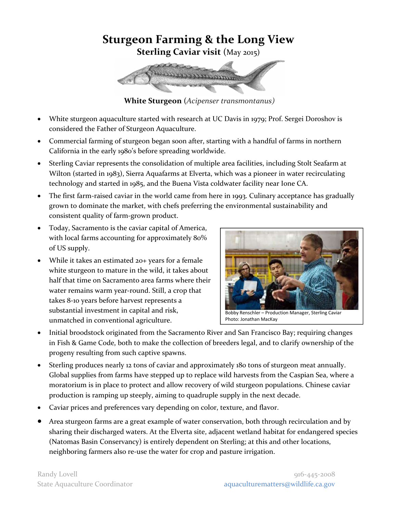## **Sturgeon Farming & the Long View Sterling Caviar visit** (May 2015)

**White Sturgeon** (*Acipenser transmontanus)*

- White sturgeon aquaculture started with research at UC Davis in 1979; Prof. Sergei Doroshov is considered the Father of Sturgeon Aquaculture.
- Commercial farming of sturgeon began soon after, starting with a handful of farms in northern California in the early 1980's before spreading worldwide.
- Sterling Caviar represents the consolidation of multiple area facilities, including Stolt Seafarm at Wilton (started in 1983), Sierra Aquafarms at Elverta, which was a pioneer in water recirculating technology and started in 1985, and the Buena Vista coldwater facility near Ione CA.
- The first farm-raised caviar in the world came from here in 1993. Culinary acceptance has gradually grown to dominate the market, with chefs preferring the environmental sustainability and consistent quality of farm-grown product.
- Today, Sacramento is the caviar capital of America, with local farms accounting for approximately 80% of US supply.
- While it takes an estimated 20+ years for a female white sturgeon to mature in the wild, it takes about half that time on Sacramento area farms where their water remains warm year-round. Still, a crop that takes 8-10 years before harvest represents a substantial investment in capital and risk, unmatched in conventional agriculture.



Bobby Renschler – Production Manager, Sterling Caviar Photo: Jonathan MacKay

- Initial broodstock originated from the Sacramento River and San Francisco Bay; requiring changes in Fish & Game Code, both to make the collection of breeders legal, and to clarify ownership of the progeny resulting from such captive spawns.
- Sterling produces nearly 12 tons of caviar and approximately 180 tons of sturgeon meat annually. Global supplies from farms have stepped up to replace wild harvests from the Caspian Sea, where a moratorium is in place to protect and allow recovery of wild sturgeon populations. Chinese caviar production is ramping up steeply, aiming to quadruple supply in the next decade.
- Caviar prices and preferences vary depending on color, texture, and flavor.
- Area sturgeon farms are a great example of water conservation, both through recirculation and by sharing their discharged waters. At the Elverta site, adjacent wetland habitat for endangered species (Natomas Basin Conservancy) is entirely dependent on Sterling; at this and other locations, neighboring farmers also re-use the water for crop and pasture irrigation.